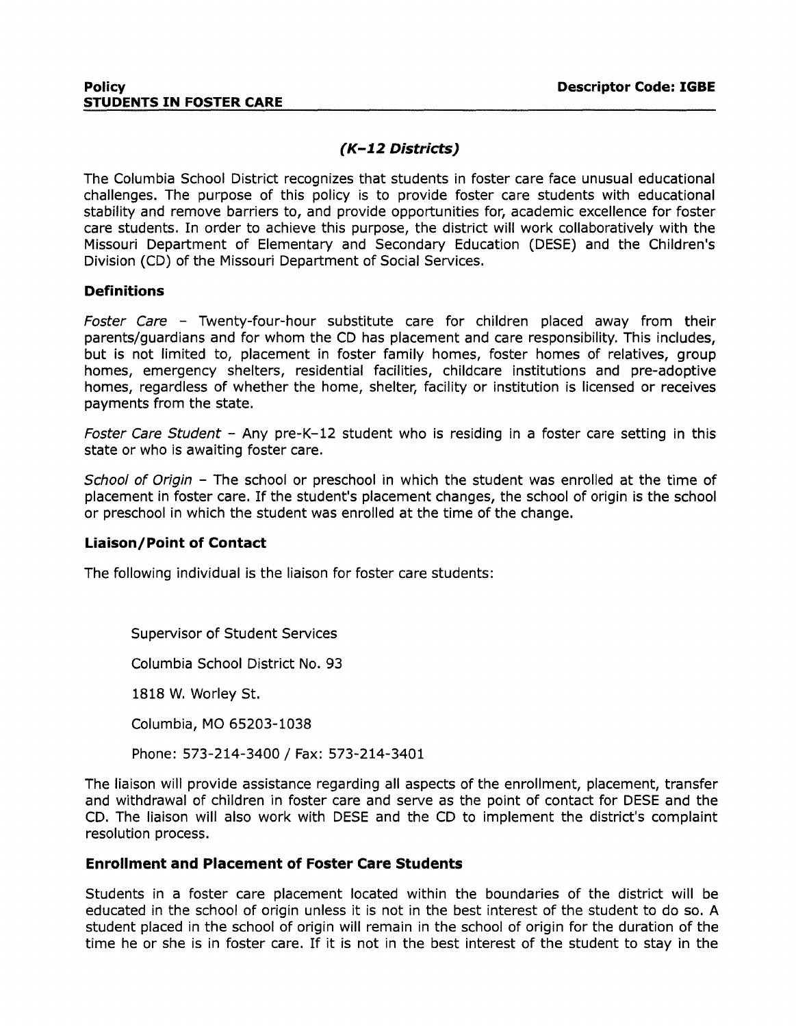# **(K-1.2 Districts)**

The Columbia School District recognizes that students in foster care face unusual educational challenges. The purpose of this policy is to provide foster care students with educational stability and remove barriers to, and provide opportunities for, academic excellence for foster care students. In order to achieve this purpose, the district will work collaboratively with the Missouri Department of Elementary and Secondary Education (DESE) and the Children's Division (CD) of the Missouri Department of Social Services.

## **Definitions**

Foster Care - Twenty-four-hour substitute care for children placed away from their parents/guardians and for whom the CD has placement and care responsibility. This includes, but is not limited to, placement in foster family homes, foster homes of relatives, group homes, emergency shelters, residential facilities, childcare institutions and pre-adoptive homes, regardless of whether the home, shelter, facility or institution is licensed or receives payments from the state.

Foster Care Student - Any pre-K-12 student who is residing in a foster care setting in this state or who is awaiting foster care.

School of Origin - The school or preschool in which the student was enrolled at the time of placement in foster care. If the student's placement changes, the school of origin is the school or preschool in which the student was enrolled at the time of the change.

## **Liaison/Point of Contact**

The following individual is the liaison for foster care students:

Supervisor of Student Services

Columbia School District No. 93

1818 W. Worley St.

Columbia, MO 65203-1038

Phone: 573-214-3400 / Fax: 573-214-3401

The liaison will provide assistance regarding all aspects of the enrollment, placement, transfer and withdrawal of children in foster care and serve as the point of contact for DESE and the CD. The liaison will also work with DESE and the CD to implement the district's complaint resolution process.

## **Enrollment and Placement of Foster Care Students**

Students in a foster care placement located within the boundaries of the district will be educated in the school of origin unless it is not in the best interest of the student to do so. A student placed in the school of origin will remain in the school of origin for the duration of the time he or she is in foster care. If it is not in the best interest of the student to stay in the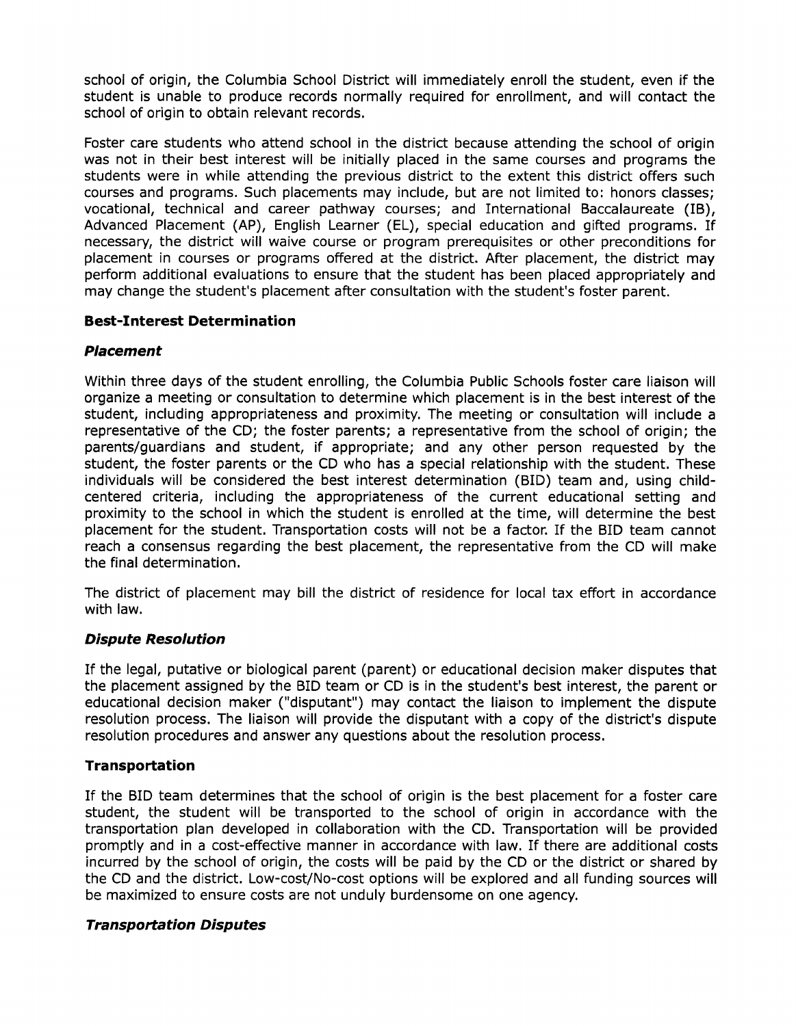school of origin, the Columbia School District will immediately enroll the student, even if the student is unable to produce records normally required for enrollment, and will contact the school of origin to obtain relevant records.

Foster care students who attend school in the district because attending the school of origin was not in their best interest will be initially placed in the same courses and programs the students were in while attending the previous district to the extent this district offers such courses and programs. Such placements may include, but are not limited to: honors classes; vocational, technical and career pathway courses; and International Baccalaureate (IB), Advanced Placement (AP), English Learner (EL), special education and gifted programs. If necessary, the district will waive course or program prerequisites or other preconditions for placement in courses or programs offered at the district. After placement, the district may perform additional evaluations to ensure that the student has been placed appropriately and may change the student's placement after consultation with the student's foster parent.

# **Best-Interest Determination**

## **Placement**

Within three days of the student enrolling, the Columbia Public Schools foster care liaison will organize a meeting or consultation to determine which placement is in the best interest of the student, including appropriateness and proximity. The meeting or consultation will include a representative of the CD; the foster parents; a representative from the school of origin; the parents/guardians and student, if appropriate; and any other person requested by the student, the foster parents or the CD who has a special relationship with the student. These individuals will be considered the best interest determination (BID) team and, using childcentered criteria, including the appropriateness of the current educational setting and proximity to the school in which the student is enrolled at the time, will determine the best placement for the student. Transportation costs will not be a factor. If the BID team cannot reach a consensus regarding the best placement, the representative from the CD will make the final determination.

The district of placement may bill the district of residence for local tax effort in accordance with law.

## **Dispute Resolution**

If the legal, putative or biological parent (parent) or educational decision maker disputes that the placement assigned by the BID team or CD is in the student's best interest, the parent or educational decision maker ("disputant") may contact the liaison to implement the dispute resolution process. The liaison will provide the disputant with a copy of the district's dispute resolution procedures and answer any questions about the resolution process.

## **Transportation**

If the BID team determines that the school of origin is the best placement for a foster care student, the student will be transported to the school of origin in accordance with the transportation plan developed in collaboration with the CD. Transportation will be provided promptly and in a cost-effective manner in accordance with law. If there are additional costs incurred by the school of origin, the costs will be paid by the CD or the district or shared by the CD and the district. Low-cost/No-cost options will be explored and all funding sources will be maximized to ensure costs are not unduly burdensome on one agency.

## **Transportation Disputes**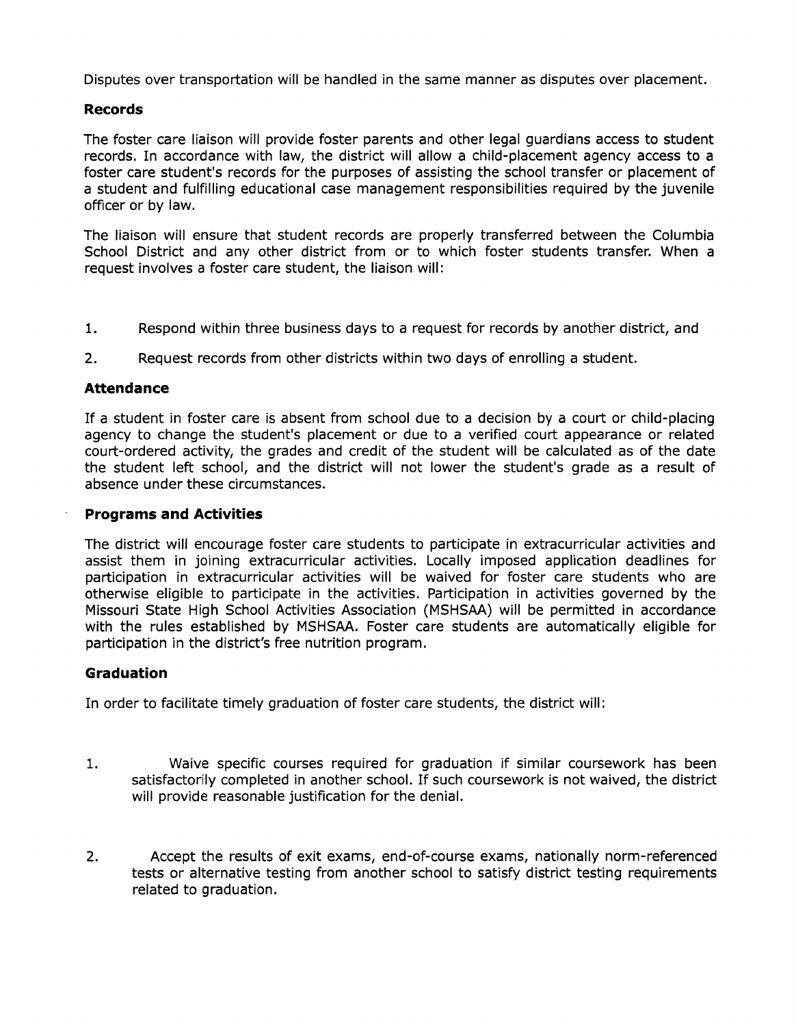Disputes over transportation will be handled in the same manner as disputes over placement.

#### **Records**

The foster care liaison will provide foster parents and other legal guardians access to student records. In accordance with law, the district will allow a child-placement agency access to a foster care student's records for the purposes of assisting the school transfer or placement of a student and fulfilling educational case management responsibilities required by the juvenile officer or by law.

The liaison will ensure that student records are properly transferred between the Columbia School District and any other district from or to which foster students transfer. When a request involves a foster care student, the liaison will:

- 1. Respond within three business days to a request for records by another district, and
- 2. Request records from other districts within two days of enrolling a student.

#### **Attendance**

If a student in foster care is absent from school due to a decision by a court or child-placing agency to change the student's placement or due to a verified court appearance or related court-ordered activity, the grades and credit of the student will be calculated as of the date the student left school, and the district will not lower the student's grade as a result of absence under these circumstances.

#### **Programs and Activities**

The district will encourage foster care students to participate in extracurricular activities and assist them in joining extracurricular activities. Locally imposed application deadlines for participation in extracurricular activities will be waived for foster care students who are otherwise eligible to participate in the activities. Participation in activities governed by the Missouri State High School Activities Association (MSHSAA) will be permitted in accordance with the rules established by MSHSAA. Foster care students are automatically eligible for participation in the district's free nutrition program.

#### **Graduation**

In order to facilitate timely graduation of foster care students, the district will:

- 1. Waive specific courses required for graduation if similar coursework has been satisfactorily completed in another school. If such coursework is not waived, the district will provide reasonable justification for the denial.
- 2. Accept the results of exit exams, end-of-course exams, nationally norm-referenced tests or alternative testing from another school to satisfy district testing requirements related to graduation.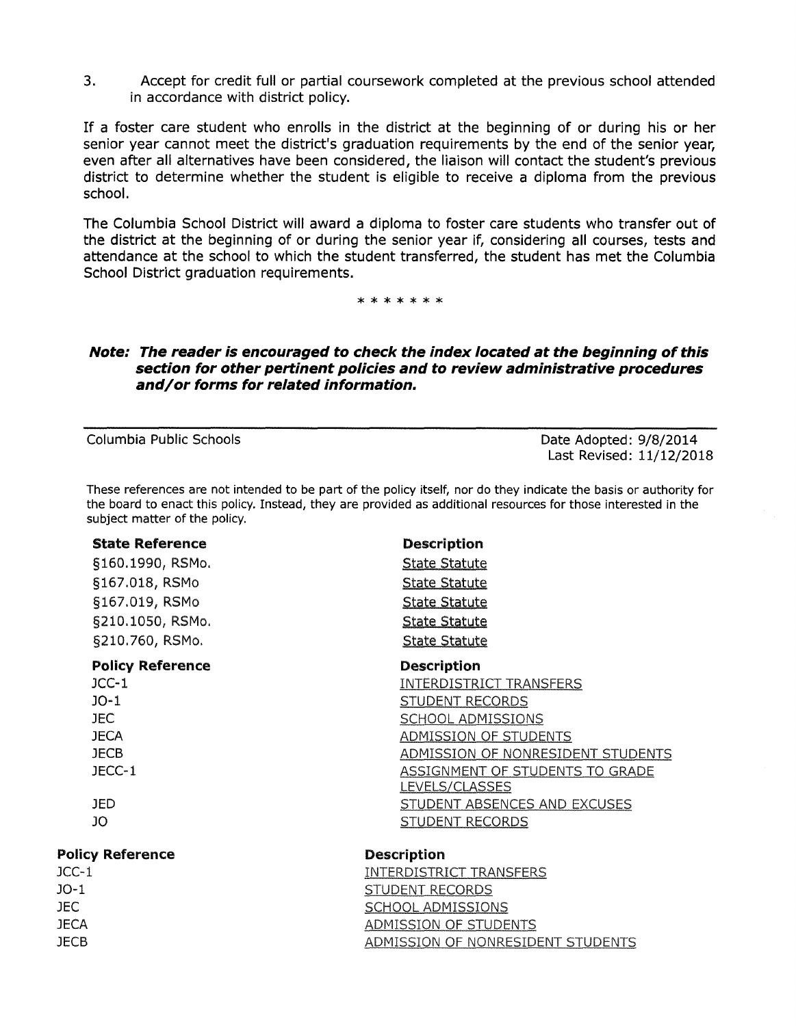3. Accept for credit full or partial coursework completed at the previous school attended in accordance with district policy.

If a foster care student who enrolls in the district at the beginning of or during his or her senior year cannot meet the district's graduation requirements by the end of the senior year, even after all alternatives have been considered, the liaison will contact the student's previous district to determine whether the student is eligible to receive a diploma from the previous school.

The Columbia School District will award a diploma to foster care students who transfer out of the district at the beginning of or during the senior year if, considering all courses, tests and attendance at the school to which the student transferred, the student has met the Columbia School District graduation requirements.

\*\*\*\*\*\*\*

## **Note: The reader is encouraged to check the index located at the beginning of this section for other pertinent policies and to review administrative procedures and/or forms for related information.**

JECB

Columbia Public Schools **Date Adopted: 9/8/2014** Last Revised: 11/12/2018

These references are not intended to be part of the policy itself, nor do they indicate the basis or authority for the board to enact this policy. Instead, they are provided as additional resources for those interested in the subject matter of the policy.

| <b>State Reference</b><br>§160.1990, RSMo.<br>§167.018, RSMo<br>§167.019, RSMo<br>§210.1050, RSMo.<br>§210.760, RSMo. | <b>Description</b><br><b>State Statute</b><br><b>State Statute</b><br><b>State Statute</b><br><b>State Statute</b><br><b>State Statute</b> |                         |                                |
|-----------------------------------------------------------------------------------------------------------------------|--------------------------------------------------------------------------------------------------------------------------------------------|-------------------------|--------------------------------|
|                                                                                                                       |                                                                                                                                            | <b>Policy Reference</b> | <b>Description</b>             |
|                                                                                                                       |                                                                                                                                            | $JCC-1$                 | <b>INTERDISTRICT TRANSFERS</b> |
|                                                                                                                       |                                                                                                                                            | $JO-1$                  | <b>STUDENT RECORDS</b>         |
|                                                                                                                       |                                                                                                                                            | JEC.                    | <b>SCHOOL ADMISSIONS</b>       |
|                                                                                                                       |                                                                                                                                            | <b>JECA</b>             | ADMISSION OF STUDENTS          |
| <b>JECB</b>                                                                                                           | ADMISSION OF NONRESIDENT STUDENTS                                                                                                          |                         |                                |
| JECC-1                                                                                                                | ASSIGNMENT OF STUDENTS TO GRADE                                                                                                            |                         |                                |
|                                                                                                                       | <b>LEVELS/CLASSES</b>                                                                                                                      |                         |                                |
| JED.                                                                                                                  | STUDENT ABSENCES AND EXCUSES                                                                                                               |                         |                                |
| JO                                                                                                                    | <b>STUDENT RECORDS</b>                                                                                                                     |                         |                                |
| <b>Policy Reference</b>                                                                                               | <b>Description</b>                                                                                                                         |                         |                                |
| $JCC-1$                                                                                                               | <b>INTERDISTRICT TRANSFERS</b>                                                                                                             |                         |                                |
| $JO-1$                                                                                                                | <b>STUDENT RECORDS</b>                                                                                                                     |                         |                                |
| JEC.                                                                                                                  | <b>SCHOOL ADMISSIONS</b>                                                                                                                   |                         |                                |
| <b>JECA</b>                                                                                                           | <b>ADMISSION OF STUDENTS</b>                                                                                                               |                         |                                |

ADMISSION OF NONRESIDENT STUDENTS